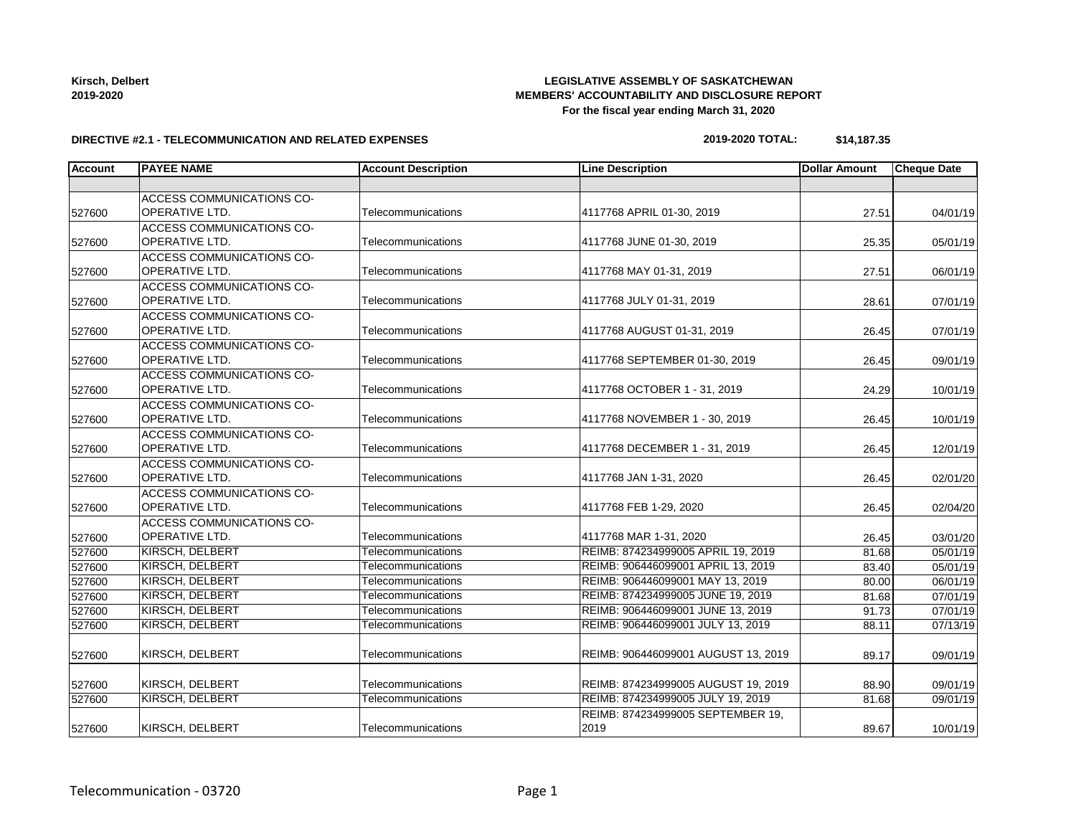| Kirsch, Delbert |  |
|-----------------|--|
| 2019-2020       |  |

#### **LEGISLATIVE ASSEMBLY OF SASKATCHEWAN MEMBERS' ACCOUNTABILITY AND DISCLOSURE REPORT For the fiscal year ending March 31, 2020**

#### **DIRECTIVE #2.1 - TELECOMMUNICATION AND RELATED EXPENSES**

## **2019-2020 TOTAL: \$14,187.35**

| <b>Account</b> | <b>PAYEE NAME</b>                | <b>Account Description</b> | <b>Line Description</b>             | <b>Dollar Amount</b> | <b>Cheque Date</b> |
|----------------|----------------------------------|----------------------------|-------------------------------------|----------------------|--------------------|
|                |                                  |                            |                                     |                      |                    |
|                | <b>ACCESS COMMUNICATIONS CO-</b> |                            |                                     |                      |                    |
| 527600         | <b>OPERATIVE LTD.</b>            | Telecommunications         | 4117768 APRIL 01-30, 2019           | 27.51                | 04/01/19           |
|                | <b>ACCESS COMMUNICATIONS CO-</b> |                            |                                     |                      |                    |
| 527600         | <b>OPERATIVE LTD.</b>            | Telecommunications         | 4117768 JUNE 01-30, 2019            | 25.35                | 05/01/19           |
|                | ACCESS COMMUNICATIONS CO-        |                            |                                     |                      |                    |
| 527600         | <b>OPERATIVE LTD.</b>            | Telecommunications         | 4117768 MAY 01-31, 2019             | 27.51                | 06/01/19           |
|                | ACCESS COMMUNICATIONS CO-        |                            |                                     |                      |                    |
| 527600         | OPERATIVE LTD.                   | Telecommunications         | 4117768 JULY 01-31, 2019            | 28.61                | 07/01/19           |
|                | ACCESS COMMUNICATIONS CO-        |                            |                                     |                      |                    |
| 527600         | <b>OPERATIVE LTD.</b>            | Telecommunications         | 4117768 AUGUST 01-31, 2019          | 26.45                | 07/01/19           |
|                | ACCESS COMMUNICATIONS CO-        |                            |                                     |                      |                    |
| 527600         | <b>OPERATIVE LTD.</b>            | Telecommunications         | 4117768 SEPTEMBER 01-30, 2019       | 26.45                | 09/01/19           |
|                | ACCESS COMMUNICATIONS CO-        |                            |                                     |                      |                    |
| 527600         | <b>OPERATIVE LTD.</b>            | Telecommunications         | 4117768 OCTOBER 1 - 31, 2019        | 24.29                | 10/01/19           |
|                | ACCESS COMMUNICATIONS CO-        |                            |                                     |                      |                    |
| 527600         | <b>OPERATIVE LTD.</b>            | Telecommunications         | 4117768 NOVEMBER 1 - 30, 2019       | 26.45                | 10/01/19           |
|                | ACCESS COMMUNICATIONS CO-        |                            |                                     |                      |                    |
| 527600         | <b>OPERATIVE LTD.</b>            | Telecommunications         | 4117768 DECEMBER 1 - 31, 2019       | 26.45                | 12/01/19           |
|                | ACCESS COMMUNICATIONS CO-        |                            |                                     |                      |                    |
| 527600         | <b>OPERATIVE LTD.</b>            | Telecommunications         | 4117768 JAN 1-31, 2020              | 26.45                | 02/01/20           |
|                | ACCESS COMMUNICATIONS CO-        |                            |                                     |                      |                    |
| 527600         | <b>OPERATIVE LTD.</b>            | Telecommunications         | 4117768 FEB 1-29, 2020              | 26.45                | 02/04/20           |
|                | <b>ACCESS COMMUNICATIONS CO-</b> |                            |                                     |                      |                    |
| 527600         | <b>OPERATIVE LTD.</b>            | Telecommunications         | 4117768 MAR 1-31, 2020              | 26.45                | 03/01/20           |
| 527600         | <b>KIRSCH, DELBERT</b>           | Telecommunications         | REIMB: 874234999005 APRIL 19, 2019  | 81.68                | 05/01/19           |
| 527600         | <b>KIRSCH, DELBERT</b>           | Telecommunications         | REIMB: 906446099001 APRIL 13, 2019  | 83.40                | 05/01/19           |
| 527600         | <b>KIRSCH, DELBERT</b>           | Telecommunications         | REIMB: 906446099001 MAY 13, 2019    | 80.00                | 06/01/19           |
| 527600         | <b>KIRSCH, DELBERT</b>           | Telecommunications         | REIMB: 874234999005 JUNE 19, 2019   | 81.68                | 07/01/19           |
| 527600         | KIRSCH, DELBERT                  | Telecommunications         | REIMB: 906446099001 JUNE 13, 2019   | 91.73                | 07/01/19           |
| 527600         | <b>KIRSCH, DELBERT</b>           | Telecommunications         | REIMB: 906446099001 JULY 13, 2019   | 88.11                | 07/13/19           |
|                |                                  |                            |                                     |                      |                    |
| 527600         | KIRSCH, DELBERT                  | Telecommunications         | REIMB: 906446099001 AUGUST 13, 2019 | 89.17                | 09/01/19           |
|                |                                  |                            |                                     |                      |                    |
| 527600         | KIRSCH, DELBERT                  | Telecommunications         | REIMB: 874234999005 AUGUST 19, 2019 | 88.90                | 09/01/19           |
| 527600         | KIRSCH, DELBERT                  | Telecommunications         | REIMB: 874234999005 JULY 19, 2019   | 81.68                | 09/01/19           |
|                |                                  |                            | REIMB: 874234999005 SEPTEMBER 19,   |                      |                    |
| 527600         | KIRSCH, DELBERT                  | Telecommunications         | 2019                                | 89.67                | 10/01/19           |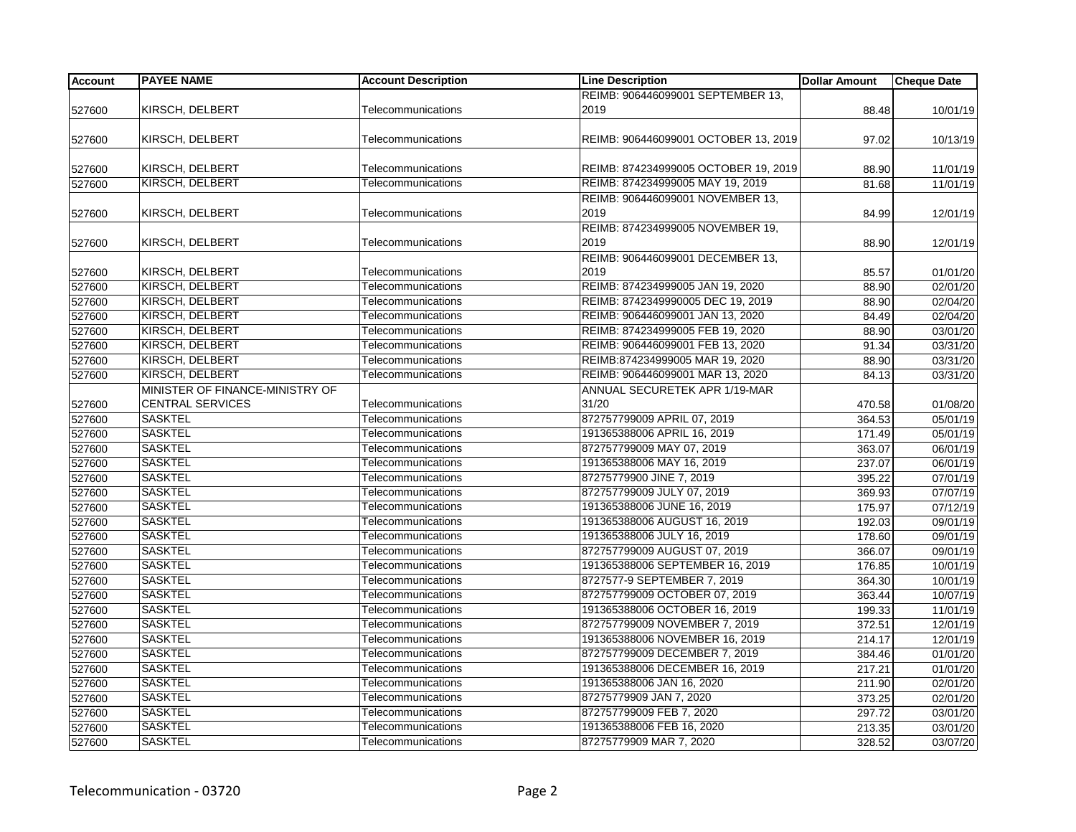| <b>Account</b> | <b>PAYEE NAME</b>               | <b>Account Description</b> | <b>Line Description</b>              | <b>Dollar Amount</b> | <b>Cheque Date</b> |
|----------------|---------------------------------|----------------------------|--------------------------------------|----------------------|--------------------|
|                |                                 |                            | REIMB: 906446099001 SEPTEMBER 13,    |                      |                    |
| 527600         | KIRSCH, DELBERT                 | Telecommunications         | 2019                                 | 88.48                | 10/01/19           |
|                |                                 |                            |                                      |                      |                    |
| 527600         | KIRSCH, DELBERT                 | Telecommunications         | REIMB: 906446099001 OCTOBER 13, 2019 | 97.02                | 10/13/19           |
|                |                                 |                            |                                      |                      |                    |
| 527600         | KIRSCH, DELBERT                 | Telecommunications         | REIMB: 874234999005 OCTOBER 19, 2019 | 88.90                | 11/01/19           |
| 527600         | KIRSCH, DELBERT                 | Telecommunications         | REIMB: 874234999005 MAY 19, 2019     | 81.68                | 11/01/19           |
|                |                                 |                            | REIMB: 906446099001 NOVEMBER 13,     |                      |                    |
| 527600         | KIRSCH, DELBERT                 | Telecommunications         | 2019                                 | 84.99                | 12/01/19           |
|                |                                 |                            | REIMB: 874234999005 NOVEMBER 19,     |                      |                    |
| 527600         | KIRSCH, DELBERT                 | Telecommunications         | 2019                                 | 88.90                | 12/01/19           |
|                |                                 |                            | REIMB: 906446099001 DECEMBER 13,     |                      |                    |
| 527600         | KIRSCH, DELBERT                 | Telecommunications         | 2019                                 | 85.57                | 01/01/20           |
| 527600         | KIRSCH, DELBERT                 | Telecommunications         | REIMB: 874234999005 JAN 19, 2020     | 88.90                | 02/01/20           |
| 527600         | KIRSCH, DELBERT                 | Telecommunications         | REIMB: 8742349990005 DEC 19, 2019    | 88.90                | 02/04/20           |
| 527600         | KIRSCH. DELBERT                 | Telecommunications         | REIMB: 906446099001 JAN 13, 2020     | 84.49                | 02/04/20           |
| 527600         | <b>KIRSCH, DELBERT</b>          | Telecommunications         | REIMB: 874234999005 FEB 19, 2020     | 88.90                | 03/01/20           |
| 527600         | <b>KIRSCH, DELBERT</b>          | Telecommunications         | REIMB: 906446099001 FEB 13, 2020     | 91.34                | 03/31/20           |
| 527600         | KIRSCH, DELBERT                 | Telecommunications         | REIMB:874234999005 MAR 19, 2020      | 88.90                | 03/31/20           |
| 527600         | KIRSCH, DELBERT                 | Telecommunications         | REIMB: 906446099001 MAR 13, 2020     | 84.13                | 03/31/20           |
|                | MINISTER OF FINANCE-MINISTRY OF |                            | ANNUAL SECURETEK APR 1/19-MAR        |                      |                    |
| 527600         | <b>CENTRAL SERVICES</b>         | Telecommunications         | 31/20                                | 470.58               | 01/08/20           |
| 527600         | <b>SASKTEL</b>                  | Telecommunications         | 872757799009 APRIL 07, 2019          | 364.53               | 05/01/19           |
| 527600         | <b>SASKTEL</b>                  | Telecommunications         | 191365388006 APRIL 16, 2019          | 171.49               | 05/01/19           |
| 527600         | <b>SASKTEL</b>                  | Telecommunications         | 872757799009 MAY 07, 2019            | 363.07               | 06/01/19           |
| 527600         | <b>SASKTEL</b>                  | Telecommunications         | 191365388006 MAY 16, 2019            | 237.07               | 06/01/19           |
| 527600         | <b>SASKTEL</b>                  | Telecommunications         | 87275779900 JINE 7, 2019             | 395.22               | 07/01/19           |
| 527600         | <b>SASKTEL</b>                  | Telecommunications         | 872757799009 JULY 07, 2019           | 369.93               | 07/07/19           |
| 527600         | <b>SASKTEL</b>                  | Telecommunications         | 191365388006 JUNE 16, 2019           | 175.97               | 07/12/19           |
| 527600         | <b>SASKTEL</b>                  | Telecommunications         | 191365388006 AUGUST 16, 2019         | 192.03               | 09/01/19           |
| 527600         | <b>SASKTEL</b>                  | Telecommunications         | 191365388006 JULY 16, 2019           | 178.60               | 09/01/19           |
| 527600         | <b>SASKTEL</b>                  | Telecommunications         | 872757799009 AUGUST 07, 2019         | 366.07               | 09/01/19           |
| 527600         | <b>SASKTEL</b>                  | Telecommunications         | 191365388006 SEPTEMBER 16, 2019      | 176.85               | 10/01/19           |
| 527600         | <b>SASKTEL</b>                  | Telecommunications         | 8727577-9 SEPTEMBER 7, 2019          | 364.30               | 10/01/19           |
| 527600         | <b>SASKTEL</b>                  | Telecommunications         | 872757799009 OCTOBER 07, 2019        | 363.44               | 10/07/19           |
| 527600         | <b>SASKTEL</b>                  | Telecommunications         | 191365388006 OCTOBER 16, 2019        | 199.33               | 11/01/19           |
| 527600         | <b>SASKTEL</b>                  | Telecommunications         | 872757799009 NOVEMBER 7, 2019        | 372.51               | 12/01/19           |
| 527600         | <b>SASKTEL</b>                  | Telecommunications         | 191365388006 NOVEMBER 16, 2019       | 214.17               | 12/01/19           |
| 527600         | <b>SASKTEL</b>                  | Telecommunications         | 872757799009 DECEMBER 7, 2019        | 384.46               | 01/01/20           |
| 527600         | <b>SASKTEL</b>                  | Telecommunications         | 191365388006 DECEMBER 16, 2019       | 217.21               | 01/01/20           |
| 527600         | <b>SASKTEL</b>                  | Telecommunications         | 191365388006 JAN 16, 2020            | 211.90               | 02/01/20           |
| 527600         | <b>SASKTEL</b>                  | Telecommunications         | 87275779909 JAN 7, 2020              | 373.25               | 02/01/20           |
| 527600         | <b>SASKTEL</b>                  | Telecommunications         | 872757799009 FEB 7, 2020             | 297.72               | 03/01/20           |
| 527600         | <b>SASKTEL</b>                  | Telecommunications         | 191365388006 FEB 16, 2020            | 213.35               | 03/01/20           |
| 527600         | <b>SASKTEL</b>                  | Telecommunications         | 87275779909 MAR 7, 2020              | 328.52               | 03/07/20           |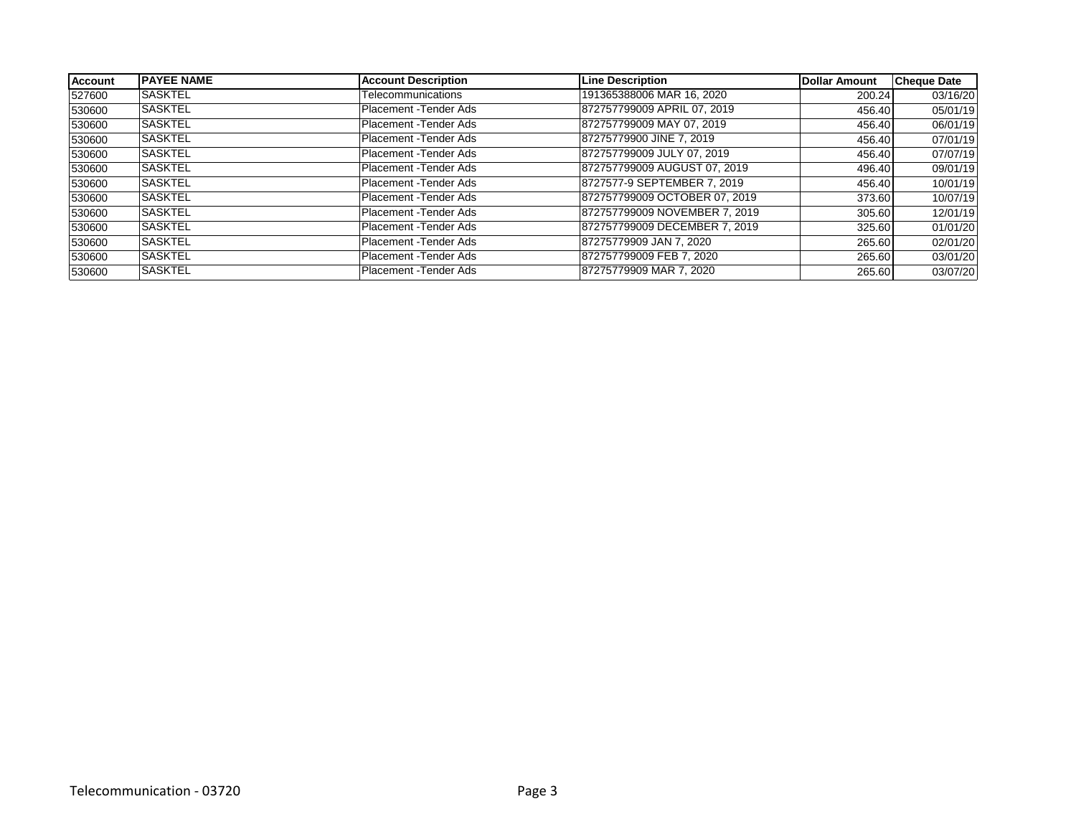| <b>Account</b> | <b>IPAYEE NAME</b> | <b>Account Description</b> | <b>Line Description</b>       | Dollar Amount | <b>Cheque Date</b> |
|----------------|--------------------|----------------------------|-------------------------------|---------------|--------------------|
| 527600         | <b>SASKTEL</b>     | Telecommunications         | 191365388006 MAR 16, 2020     | 200.24        | 03/16/20           |
| 530600         | <b>SASKTEL</b>     | Placement - Tender Ads     | 872757799009 APRIL 07, 2019   | 456.40        | 05/01/19           |
| 530600         | <b>SASKTEL</b>     | Placement - Tender Ads     | 872757799009 MAY 07, 2019     | 456.40        | 06/01/19           |
| 530600         | <b>SASKTEL</b>     | Placement - Tender Ads     | 87275779900 JINE 7, 2019      | 456.40        | 07/01/19           |
| 530600         | <b>SASKTEL</b>     | Placement - Tender Ads     | 872757799009 JULY 07, 2019    | 456.40        | 07/07/19           |
| 530600         | <b>SASKTEL</b>     | Placement - Tender Ads     | 872757799009 AUGUST 07, 2019  | 496.40        | 09/01/19           |
| 530600         | <b>SASKTEL</b>     | Placement -Tender Ads      | 8727577-9 SEPTEMBER 7, 2019   | 456.40        | 10/01/19           |
| 530600         | <b>SASKTEL</b>     | Placement - Tender Ads     | 872757799009 OCTOBER 07, 2019 | 373.60        | 10/07/19           |
| 530600         | <b>SASKTEL</b>     | Placement - Tender Ads     | 872757799009 NOVEMBER 7, 2019 | 305.60        | 12/01/19           |
| 530600         | <b>SASKTEL</b>     | Placement - Tender Ads     | 872757799009 DECEMBER 7, 2019 | 325.60        | 01/01/20           |
| 530600         | <b>SASKTEL</b>     | Placement - Tender Ads     | 87275779909 JAN 7, 2020       | 265.60        | 02/01/20           |
| 530600         | <b>SASKTEL</b>     | Placement - Tender Ads     | 872757799009 FEB 7, 2020      | 265.60        | 03/01/20           |
| 530600         | ISASKTEL           | Placement - Tender Ads     | 87275779909 MAR 7, 2020       | 265.60        | 03/07/20           |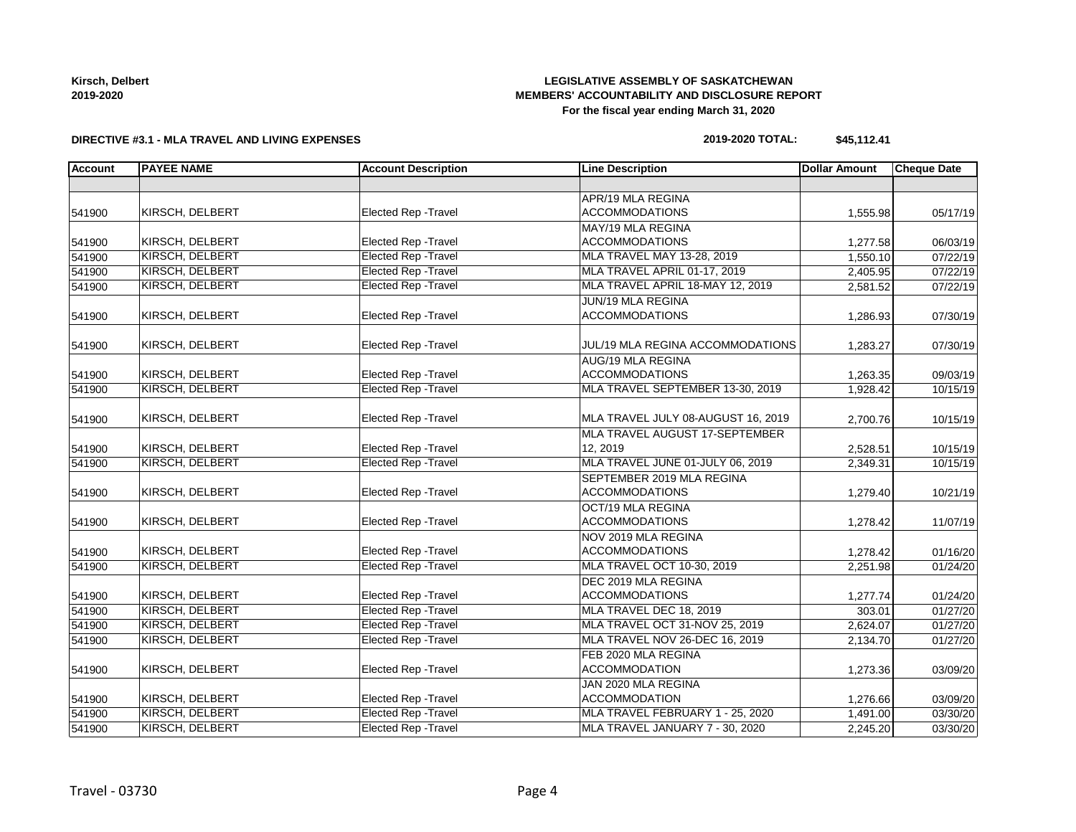**Kirsch, Delbert 2019-2020**

#### **LEGISLATIVE ASSEMBLY OF SASKATCHEWAN MEMBERS' ACCOUNTABILITY AND DISCLOSURE REPORT For the fiscal year ending March 31, 2020**

#### **DIRECTIVE #3.1 - MLA TRAVEL AND LIVING EXPENSES**

#### **2019-2020 TOTAL: \$45,112.41**

| <b>Account</b> | <b>PAYEE NAME</b>      | <b>Account Description</b>  | <b>Line Description</b>            | <b>Dollar Amount</b> | <b>Cheque Date</b> |
|----------------|------------------------|-----------------------------|------------------------------------|----------------------|--------------------|
|                |                        |                             |                                    |                      |                    |
|                |                        |                             | APR/19 MLA REGINA                  |                      |                    |
| 541900         | KIRSCH, DELBERT        | Elected Rep - Travel        | <b>ACCOMMODATIONS</b>              | 1,555.98             | 05/17/19           |
|                |                        |                             | MAY/19 MLA REGINA                  |                      |                    |
| 541900         | KIRSCH, DELBERT        | <b>Elected Rep - Travel</b> | <b>ACCOMMODATIONS</b>              | 1,277.58             | 06/03/19           |
| 541900         | KIRSCH, DELBERT        | <b>Elected Rep - Travel</b> | MLA TRAVEL MAY 13-28, 2019         | 1,550.10             | 07/22/19           |
| 541900         | <b>KIRSCH, DELBERT</b> | <b>Elected Rep - Travel</b> | MLA TRAVEL APRIL 01-17, 2019       | 2,405.95             | 07/22/19           |
| 541900         | KIRSCH, DELBERT        | <b>Elected Rep - Travel</b> | MLA TRAVEL APRIL 18-MAY 12, 2019   | 2,581.52             | 07/22/19           |
|                |                        |                             | JUN/19 MLA REGINA                  |                      |                    |
| 541900         | KIRSCH, DELBERT        | Elected Rep - Travel        | <b>ACCOMMODATIONS</b>              | 1,286.93             | 07/30/19           |
| 541900         | KIRSCH, DELBERT        | Elected Rep - Travel        | JUL/19 MLA REGINA ACCOMMODATIONS   | 1,283.27             | 07/30/19           |
|                |                        |                             | AUG/19 MLA REGINA                  |                      |                    |
| 541900         | KIRSCH, DELBERT        | <b>Elected Rep - Travel</b> | <b>ACCOMMODATIONS</b>              | 1,263.35             | 09/03/19           |
| 541900         | <b>KIRSCH, DELBERT</b> | <b>Elected Rep - Travel</b> | MLA TRAVEL SEPTEMBER 13-30, 2019   | 1,928.42             | 10/15/19           |
| 541900         | KIRSCH, DELBERT        | Elected Rep - Travel        | MLA TRAVEL JULY 08-AUGUST 16, 2019 | 2,700.76             | 10/15/19           |
|                |                        |                             | MLA TRAVEL AUGUST 17-SEPTEMBER     |                      |                    |
| 541900         | KIRSCH, DELBERT        | Elected Rep - Travel        | 12, 2019                           | 2,528.51             | 10/15/19           |
| 541900         | KIRSCH, DELBERT        | <b>Elected Rep - Travel</b> | MLA TRAVEL JUNE 01-JULY 06, 2019   | 2,349.31             | 10/15/19           |
|                |                        |                             | SEPTEMBER 2019 MLA REGINA          |                      |                    |
| 541900         | KIRSCH, DELBERT        | Elected Rep - Travel        | <b>ACCOMMODATIONS</b>              | 1,279.40             | 10/21/19           |
|                |                        |                             | OCT/19 MLA REGINA                  |                      |                    |
| 541900         | KIRSCH, DELBERT        | <b>Elected Rep - Travel</b> | <b>ACCOMMODATIONS</b>              | 1,278.42             | 11/07/19           |
|                |                        |                             | NOV 2019 MLA REGINA                |                      |                    |
| 541900         | KIRSCH, DELBERT        | <b>Elected Rep - Travel</b> | <b>ACCOMMODATIONS</b>              | 1,278.42             | 01/16/20           |
| 541900         | KIRSCH, DELBERT        | <b>Elected Rep - Travel</b> | MLA TRAVEL OCT 10-30, 2019         | 2,251.98             | 01/24/20           |
|                |                        |                             | DEC 2019 MLA REGINA                |                      |                    |
| 541900         | KIRSCH, DELBERT        | <b>Elected Rep - Travel</b> | <b>ACCOMMODATIONS</b>              | 1,277.74             | 01/24/20           |
| 541900         | <b>KIRSCH, DELBERT</b> | <b>Elected Rep - Travel</b> | MLA TRAVEL DEC 18, 2019            | 303.01               | 01/27/20           |
| 541900         | KIRSCH, DELBERT        | <b>Elected Rep - Travel</b> | MLA TRAVEL OCT 31-NOV 25, 2019     | 2,624.07             | 01/27/20           |
| 541900         | <b>KIRSCH, DELBERT</b> | <b>Elected Rep - Travel</b> | MLA TRAVEL NOV 26-DEC 16, 2019     | 2,134.70             | 01/27/20           |
|                |                        |                             | FEB 2020 MLA REGINA                |                      |                    |
| 541900         | KIRSCH, DELBERT        | Elected Rep - Travel        | <b>ACCOMMODATION</b>               | 1,273.36             | 03/09/20           |
|                |                        |                             | JAN 2020 MLA REGINA                |                      |                    |
| 541900         | KIRSCH, DELBERT        | Elected Rep - Travel        | <b>ACCOMMODATION</b>               | 1,276.66             | 03/09/20           |
| 541900         | KIRSCH, DELBERT        | <b>Elected Rep - Travel</b> | MLA TRAVEL FEBRUARY 1 - 25, 2020   | 1,491.00             | 03/30/20           |
| 541900         | <b>KIRSCH, DELBERT</b> | <b>Elected Rep - Travel</b> | MLA TRAVEL JANUARY 7 - 30, 2020    | 2,245.20             | 03/30/20           |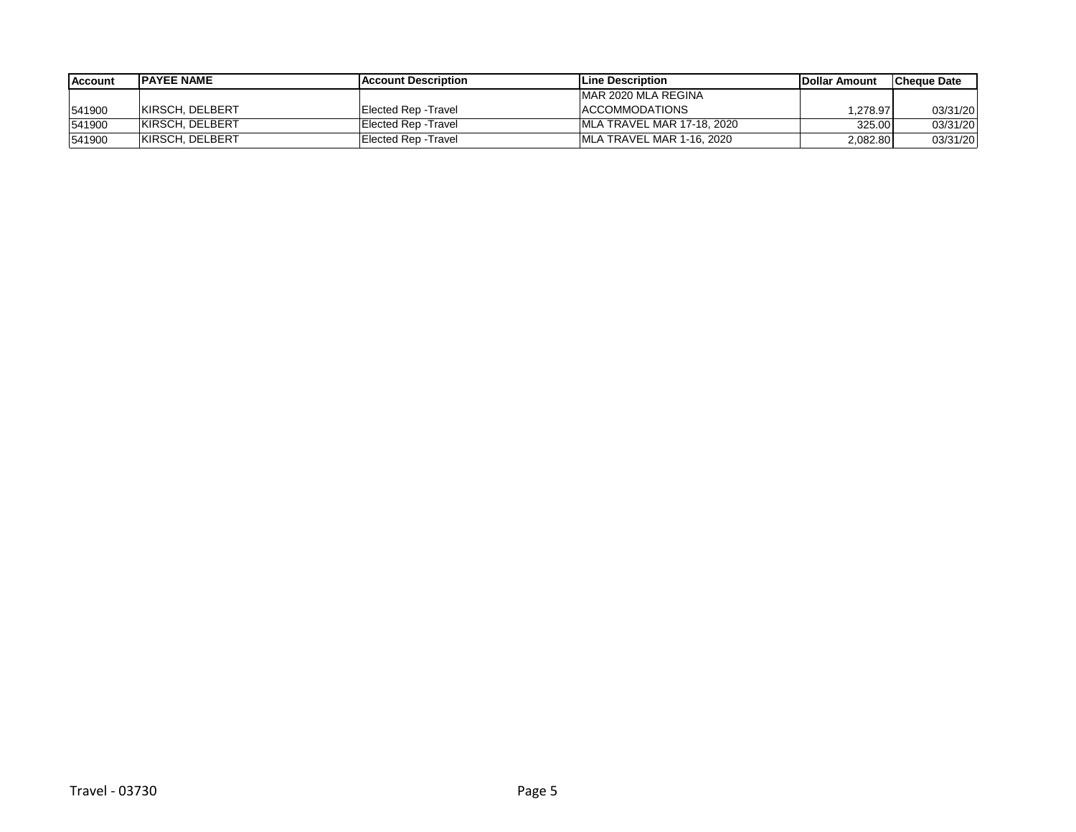| Account | <b>IPAYEE NAME</b>     | <b>IAccount Description</b> | <b>ILine Description</b>   | <b>IDollar Amount</b> | lCheque Date |
|---------|------------------------|-----------------------------|----------------------------|-----------------------|--------------|
|         |                        |                             | IMAR 2020 MLA REGINA       |                       |              |
| 541900  | <b>KIRSCH, DELBERT</b> | Elected Rep -Travel         | <b>ACCOMMODATIONS</b>      | .278.97               | 03/31/20     |
| 541900  | <b>KIRSCH, DELBERT</b> | Elected Rep - Travel        | MLA TRAVEL MAR 17-18, 2020 | 325.00                | 03/31/20     |
| 541900  | <b>KIRSCH, DELBERT</b> | Elected Rep - Travel        | MLA TRAVEL MAR 1-16, 2020  | 2,082.80              | 03/31/20     |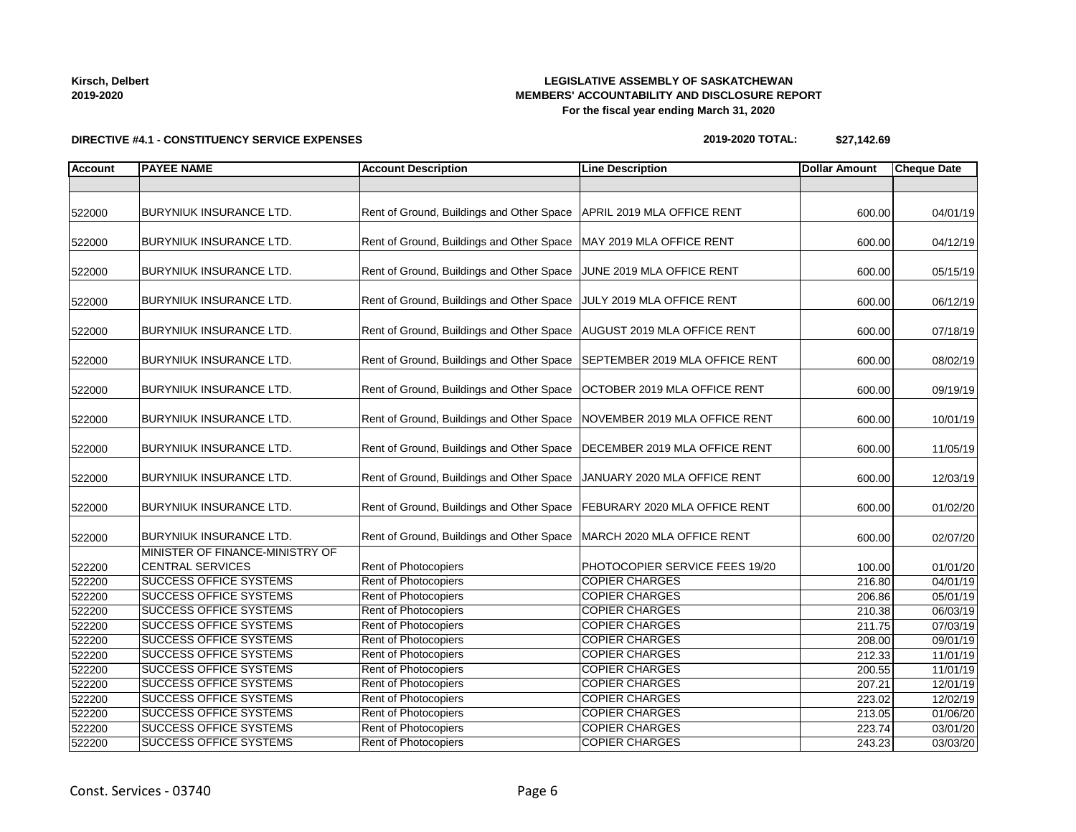| Kirsch, Delbert |
|-----------------|
| 2019-2020       |

#### **LEGISLATIVE ASSEMBLY OF SASKATCHEWAN MEMBERS' ACCOUNTABILITY AND DISCLOSURE REPORT For the fiscal year ending March 31, 2020**

### **DIRECTIVE #4.1 - CONSTITUENCY SERVICE EXPENSES**

# **2019-2020 TOTAL: \$27,142.69**

| BURYNIUK INSURANCE LTD.<br>Rent of Ground, Buildings and Other Space   APRIL 2019 MLA OFFICE RENT<br>522000<br>600.00<br>04/01/19<br><b>BURYNIUK INSURANCE LTD.</b><br>Rent of Ground, Buildings and Other Space   MAY 2019 MLA OFFICE RENT<br>04/12/19<br>522000<br>600.00<br>Rent of Ground, Buildings and Other Space<br><b>BURYNIUK INSURANCE LTD.</b><br>JUNE 2019 MLA OFFICE RENT<br>522000<br>05/15/19<br>600.00<br><b>BURYNIUK INSURANCE LTD.</b><br>Rent of Ground, Buildings and Other Space<br>JULY 2019 MLA OFFICE RENT<br>06/12/19<br>600.00<br>Rent of Ground, Buildings and Other Space   AUGUST 2019 MLA OFFICE RENT<br><b>BURYNIUK INSURANCE LTD.</b><br>600.00<br>07/18/19<br><b>BURYNIUK INSURANCE LTD.</b><br>Rent of Ground, Buildings and Other Space<br>SEPTEMBER 2019 MLA OFFICE RENT<br>08/02/19<br>600.00<br><b>BURYNIUK INSURANCE LTD.</b><br>Rent of Ground, Buildings and Other Space<br>OCTOBER 2019 MLA OFFICE RENT<br>600.00<br>09/19/19<br>Rent of Ground, Buildings and Other Space   NOVEMBER 2019 MLA OFFICE RENT<br><b>BURYNIUK INSURANCE LTD.</b><br>600.00<br>10/01/19<br>Rent of Ground, Buildings and Other Space<br><b>BURYNIUK INSURANCE LTD.</b><br>DECEMBER 2019 MLA OFFICE RENT<br>600.00<br>11/05/19<br>Rent of Ground, Buildings and Other Space<br>BURYNIUK INSURANCE LTD.<br>JANUARY 2020 MLA OFFICE RENT<br>12/03/19<br>522000<br>600.00<br>Rent of Ground, Buildings and Other Space<br><b>BURYNIUK INSURANCE LTD.</b><br>FEBURARY 2020 MLA OFFICE RENT<br>600.00<br>01/02/20<br><b>BURYNIUK INSURANCE LTD.</b><br>Rent of Ground, Buildings and Other Space<br>MARCH 2020 MLA OFFICE RENT<br>600.00<br>02/07/20<br>MINISTER OF FINANCE-MINISTRY OF<br><b>CENTRAL SERVICES</b><br>Rent of Photocopiers<br>PHOTOCOPIER SERVICE FEES 19/20<br>01/01/20<br>100.00<br>Rent of Photocopiers<br><b>SUCCESS OFFICE SYSTEMS</b><br><b>COPIER CHARGES</b><br>216.80<br>04/01/19<br><b>SUCCESS OFFICE SYSTEMS</b><br>Rent of Photocopiers<br><b>COPIER CHARGES</b><br>05/01/19<br>206.86<br>Rent of Photocopiers<br><b>SUCCESS OFFICE SYSTEMS</b><br><b>COPIER CHARGES</b><br>210.38<br>06/03/19<br><b>Rent of Photocopiers</b><br><b>SUCCESS OFFICE SYSTEMS</b><br><b>COPIER CHARGES</b><br>07/03/19<br>211.75<br><b>SUCCESS OFFICE SYSTEMS</b><br><b>COPIER CHARGES</b><br><b>Rent of Photocopiers</b><br>09/01/19<br>208.00<br><b>SUCCESS OFFICE SYSTEMS</b><br><b>COPIER CHARGES</b><br><b>Rent of Photocopiers</b><br>212.33<br>11/01/19<br><b>SUCCESS OFFICE SYSTEMS</b><br>Rent of Photocopiers<br><b>COPIER CHARGES</b><br>200.55<br>11/01/19<br>SUCCESS OFFICE SYSTEMS<br>Rent of Photocopiers<br><b>COPIER CHARGES</b><br>12/01/19<br>207.21<br><b>SUCCESS OFFICE SYSTEMS</b><br>Rent of Photocopiers<br><b>COPIER CHARGES</b><br>12/02/19<br>223.02<br><b>SUCCESS OFFICE SYSTEMS</b><br>Rent of Photocopiers<br><b>COPIER CHARGES</b><br>01/06/20<br>213.05<br><b>Rent of Photocopiers</b><br><b>COPIER CHARGES</b><br><b>SUCCESS OFFICE SYSTEMS</b><br>03/01/20<br>223.74 | <b>Account</b> | <b>PAYEE NAME</b> | <b>Account Description</b> | <b>Line Description</b> | <b>Dollar Amount</b> | <b>Cheque Date</b> |
|---------------------------------------------------------------------------------------------------------------------------------------------------------------------------------------------------------------------------------------------------------------------------------------------------------------------------------------------------------------------------------------------------------------------------------------------------------------------------------------------------------------------------------------------------------------------------------------------------------------------------------------------------------------------------------------------------------------------------------------------------------------------------------------------------------------------------------------------------------------------------------------------------------------------------------------------------------------------------------------------------------------------------------------------------------------------------------------------------------------------------------------------------------------------------------------------------------------------------------------------------------------------------------------------------------------------------------------------------------------------------------------------------------------------------------------------------------------------------------------------------------------------------------------------------------------------------------------------------------------------------------------------------------------------------------------------------------------------------------------------------------------------------------------------------------------------------------------------------------------------------------------------------------------------------------------------------------------------------------------------------------------------------------------------------------------------------------------------------------------------------------------------------------------------------------------------------------------------------------------------------------------------------------------------------------------------------------------------------------------------------------------------------------------------------------------------------------------------------------------------------------------------------------------------------------------------------------------------------------------------------------------------------------------------------------------------------------------------------------------------------------------------------------------------------------------------------------------------------------------------------------------------------------------------------------------------------------------------------------------------------------------------------------|----------------|-------------------|----------------------------|-------------------------|----------------------|--------------------|
|                                                                                                                                                                                                                                                                                                                                                                                                                                                                                                                                                                                                                                                                                                                                                                                                                                                                                                                                                                                                                                                                                                                                                                                                                                                                                                                                                                                                                                                                                                                                                                                                                                                                                                                                                                                                                                                                                                                                                                                                                                                                                                                                                                                                                                                                                                                                                                                                                                                                                                                                                                                                                                                                                                                                                                                                                                                                                                                                                                                                                                 |                |                   |                            |                         |                      |                    |
|                                                                                                                                                                                                                                                                                                                                                                                                                                                                                                                                                                                                                                                                                                                                                                                                                                                                                                                                                                                                                                                                                                                                                                                                                                                                                                                                                                                                                                                                                                                                                                                                                                                                                                                                                                                                                                                                                                                                                                                                                                                                                                                                                                                                                                                                                                                                                                                                                                                                                                                                                                                                                                                                                                                                                                                                                                                                                                                                                                                                                                 |                |                   |                            |                         |                      |                    |
|                                                                                                                                                                                                                                                                                                                                                                                                                                                                                                                                                                                                                                                                                                                                                                                                                                                                                                                                                                                                                                                                                                                                                                                                                                                                                                                                                                                                                                                                                                                                                                                                                                                                                                                                                                                                                                                                                                                                                                                                                                                                                                                                                                                                                                                                                                                                                                                                                                                                                                                                                                                                                                                                                                                                                                                                                                                                                                                                                                                                                                 |                |                   |                            |                         |                      |                    |
|                                                                                                                                                                                                                                                                                                                                                                                                                                                                                                                                                                                                                                                                                                                                                                                                                                                                                                                                                                                                                                                                                                                                                                                                                                                                                                                                                                                                                                                                                                                                                                                                                                                                                                                                                                                                                                                                                                                                                                                                                                                                                                                                                                                                                                                                                                                                                                                                                                                                                                                                                                                                                                                                                                                                                                                                                                                                                                                                                                                                                                 |                |                   |                            |                         |                      |                    |
|                                                                                                                                                                                                                                                                                                                                                                                                                                                                                                                                                                                                                                                                                                                                                                                                                                                                                                                                                                                                                                                                                                                                                                                                                                                                                                                                                                                                                                                                                                                                                                                                                                                                                                                                                                                                                                                                                                                                                                                                                                                                                                                                                                                                                                                                                                                                                                                                                                                                                                                                                                                                                                                                                                                                                                                                                                                                                                                                                                                                                                 |                |                   |                            |                         |                      |                    |
|                                                                                                                                                                                                                                                                                                                                                                                                                                                                                                                                                                                                                                                                                                                                                                                                                                                                                                                                                                                                                                                                                                                                                                                                                                                                                                                                                                                                                                                                                                                                                                                                                                                                                                                                                                                                                                                                                                                                                                                                                                                                                                                                                                                                                                                                                                                                                                                                                                                                                                                                                                                                                                                                                                                                                                                                                                                                                                                                                                                                                                 |                |                   |                            |                         |                      |                    |
| 522000<br>522000<br>522000<br>522000<br>522000<br>522000<br>522200<br>522200<br>522200<br>522200<br>522200<br>522200<br>522200                                                                                                                                                                                                                                                                                                                                                                                                                                                                                                                                                                                                                                                                                                                                                                                                                                                                                                                                                                                                                                                                                                                                                                                                                                                                                                                                                                                                                                                                                                                                                                                                                                                                                                                                                                                                                                                                                                                                                                                                                                                                                                                                                                                                                                                                                                                                                                                                                                                                                                                                                                                                                                                                                                                                                                                                                                                                                                  |                |                   |                            |                         |                      |                    |
|                                                                                                                                                                                                                                                                                                                                                                                                                                                                                                                                                                                                                                                                                                                                                                                                                                                                                                                                                                                                                                                                                                                                                                                                                                                                                                                                                                                                                                                                                                                                                                                                                                                                                                                                                                                                                                                                                                                                                                                                                                                                                                                                                                                                                                                                                                                                                                                                                                                                                                                                                                                                                                                                                                                                                                                                                                                                                                                                                                                                                                 |                |                   |                            |                         |                      |                    |
|                                                                                                                                                                                                                                                                                                                                                                                                                                                                                                                                                                                                                                                                                                                                                                                                                                                                                                                                                                                                                                                                                                                                                                                                                                                                                                                                                                                                                                                                                                                                                                                                                                                                                                                                                                                                                                                                                                                                                                                                                                                                                                                                                                                                                                                                                                                                                                                                                                                                                                                                                                                                                                                                                                                                                                                                                                                                                                                                                                                                                                 |                |                   |                            |                         |                      |                    |
|                                                                                                                                                                                                                                                                                                                                                                                                                                                                                                                                                                                                                                                                                                                                                                                                                                                                                                                                                                                                                                                                                                                                                                                                                                                                                                                                                                                                                                                                                                                                                                                                                                                                                                                                                                                                                                                                                                                                                                                                                                                                                                                                                                                                                                                                                                                                                                                                                                                                                                                                                                                                                                                                                                                                                                                                                                                                                                                                                                                                                                 |                |                   |                            |                         |                      |                    |
|                                                                                                                                                                                                                                                                                                                                                                                                                                                                                                                                                                                                                                                                                                                                                                                                                                                                                                                                                                                                                                                                                                                                                                                                                                                                                                                                                                                                                                                                                                                                                                                                                                                                                                                                                                                                                                                                                                                                                                                                                                                                                                                                                                                                                                                                                                                                                                                                                                                                                                                                                                                                                                                                                                                                                                                                                                                                                                                                                                                                                                 |                |                   |                            |                         |                      |                    |
|                                                                                                                                                                                                                                                                                                                                                                                                                                                                                                                                                                                                                                                                                                                                                                                                                                                                                                                                                                                                                                                                                                                                                                                                                                                                                                                                                                                                                                                                                                                                                                                                                                                                                                                                                                                                                                                                                                                                                                                                                                                                                                                                                                                                                                                                                                                                                                                                                                                                                                                                                                                                                                                                                                                                                                                                                                                                                                                                                                                                                                 |                |                   |                            |                         |                      |                    |
|                                                                                                                                                                                                                                                                                                                                                                                                                                                                                                                                                                                                                                                                                                                                                                                                                                                                                                                                                                                                                                                                                                                                                                                                                                                                                                                                                                                                                                                                                                                                                                                                                                                                                                                                                                                                                                                                                                                                                                                                                                                                                                                                                                                                                                                                                                                                                                                                                                                                                                                                                                                                                                                                                                                                                                                                                                                                                                                                                                                                                                 |                |                   |                            |                         |                      |                    |
|                                                                                                                                                                                                                                                                                                                                                                                                                                                                                                                                                                                                                                                                                                                                                                                                                                                                                                                                                                                                                                                                                                                                                                                                                                                                                                                                                                                                                                                                                                                                                                                                                                                                                                                                                                                                                                                                                                                                                                                                                                                                                                                                                                                                                                                                                                                                                                                                                                                                                                                                                                                                                                                                                                                                                                                                                                                                                                                                                                                                                                 |                |                   |                            |                         |                      |                    |
|                                                                                                                                                                                                                                                                                                                                                                                                                                                                                                                                                                                                                                                                                                                                                                                                                                                                                                                                                                                                                                                                                                                                                                                                                                                                                                                                                                                                                                                                                                                                                                                                                                                                                                                                                                                                                                                                                                                                                                                                                                                                                                                                                                                                                                                                                                                                                                                                                                                                                                                                                                                                                                                                                                                                                                                                                                                                                                                                                                                                                                 |                |                   |                            |                         |                      |                    |
|                                                                                                                                                                                                                                                                                                                                                                                                                                                                                                                                                                                                                                                                                                                                                                                                                                                                                                                                                                                                                                                                                                                                                                                                                                                                                                                                                                                                                                                                                                                                                                                                                                                                                                                                                                                                                                                                                                                                                                                                                                                                                                                                                                                                                                                                                                                                                                                                                                                                                                                                                                                                                                                                                                                                                                                                                                                                                                                                                                                                                                 | 522000         |                   |                            |                         |                      |                    |
|                                                                                                                                                                                                                                                                                                                                                                                                                                                                                                                                                                                                                                                                                                                                                                                                                                                                                                                                                                                                                                                                                                                                                                                                                                                                                                                                                                                                                                                                                                                                                                                                                                                                                                                                                                                                                                                                                                                                                                                                                                                                                                                                                                                                                                                                                                                                                                                                                                                                                                                                                                                                                                                                                                                                                                                                                                                                                                                                                                                                                                 |                |                   |                            |                         |                      |                    |
|                                                                                                                                                                                                                                                                                                                                                                                                                                                                                                                                                                                                                                                                                                                                                                                                                                                                                                                                                                                                                                                                                                                                                                                                                                                                                                                                                                                                                                                                                                                                                                                                                                                                                                                                                                                                                                                                                                                                                                                                                                                                                                                                                                                                                                                                                                                                                                                                                                                                                                                                                                                                                                                                                                                                                                                                                                                                                                                                                                                                                                 |                |                   |                            |                         |                      |                    |
|                                                                                                                                                                                                                                                                                                                                                                                                                                                                                                                                                                                                                                                                                                                                                                                                                                                                                                                                                                                                                                                                                                                                                                                                                                                                                                                                                                                                                                                                                                                                                                                                                                                                                                                                                                                                                                                                                                                                                                                                                                                                                                                                                                                                                                                                                                                                                                                                                                                                                                                                                                                                                                                                                                                                                                                                                                                                                                                                                                                                                                 |                |                   |                            |                         |                      |                    |
|                                                                                                                                                                                                                                                                                                                                                                                                                                                                                                                                                                                                                                                                                                                                                                                                                                                                                                                                                                                                                                                                                                                                                                                                                                                                                                                                                                                                                                                                                                                                                                                                                                                                                                                                                                                                                                                                                                                                                                                                                                                                                                                                                                                                                                                                                                                                                                                                                                                                                                                                                                                                                                                                                                                                                                                                                                                                                                                                                                                                                                 |                |                   |                            |                         |                      |                    |
|                                                                                                                                                                                                                                                                                                                                                                                                                                                                                                                                                                                                                                                                                                                                                                                                                                                                                                                                                                                                                                                                                                                                                                                                                                                                                                                                                                                                                                                                                                                                                                                                                                                                                                                                                                                                                                                                                                                                                                                                                                                                                                                                                                                                                                                                                                                                                                                                                                                                                                                                                                                                                                                                                                                                                                                                                                                                                                                                                                                                                                 |                |                   |                            |                         |                      |                    |
|                                                                                                                                                                                                                                                                                                                                                                                                                                                                                                                                                                                                                                                                                                                                                                                                                                                                                                                                                                                                                                                                                                                                                                                                                                                                                                                                                                                                                                                                                                                                                                                                                                                                                                                                                                                                                                                                                                                                                                                                                                                                                                                                                                                                                                                                                                                                                                                                                                                                                                                                                                                                                                                                                                                                                                                                                                                                                                                                                                                                                                 | 522000         |                   |                            |                         |                      |                    |
|                                                                                                                                                                                                                                                                                                                                                                                                                                                                                                                                                                                                                                                                                                                                                                                                                                                                                                                                                                                                                                                                                                                                                                                                                                                                                                                                                                                                                                                                                                                                                                                                                                                                                                                                                                                                                                                                                                                                                                                                                                                                                                                                                                                                                                                                                                                                                                                                                                                                                                                                                                                                                                                                                                                                                                                                                                                                                                                                                                                                                                 |                |                   |                            |                         |                      |                    |
|                                                                                                                                                                                                                                                                                                                                                                                                                                                                                                                                                                                                                                                                                                                                                                                                                                                                                                                                                                                                                                                                                                                                                                                                                                                                                                                                                                                                                                                                                                                                                                                                                                                                                                                                                                                                                                                                                                                                                                                                                                                                                                                                                                                                                                                                                                                                                                                                                                                                                                                                                                                                                                                                                                                                                                                                                                                                                                                                                                                                                                 |                |                   |                            |                         |                      |                    |
|                                                                                                                                                                                                                                                                                                                                                                                                                                                                                                                                                                                                                                                                                                                                                                                                                                                                                                                                                                                                                                                                                                                                                                                                                                                                                                                                                                                                                                                                                                                                                                                                                                                                                                                                                                                                                                                                                                                                                                                                                                                                                                                                                                                                                                                                                                                                                                                                                                                                                                                                                                                                                                                                                                                                                                                                                                                                                                                                                                                                                                 |                |                   |                            |                         |                      |                    |
|                                                                                                                                                                                                                                                                                                                                                                                                                                                                                                                                                                                                                                                                                                                                                                                                                                                                                                                                                                                                                                                                                                                                                                                                                                                                                                                                                                                                                                                                                                                                                                                                                                                                                                                                                                                                                                                                                                                                                                                                                                                                                                                                                                                                                                                                                                                                                                                                                                                                                                                                                                                                                                                                                                                                                                                                                                                                                                                                                                                                                                 | 522200         |                   |                            |                         |                      |                    |
|                                                                                                                                                                                                                                                                                                                                                                                                                                                                                                                                                                                                                                                                                                                                                                                                                                                                                                                                                                                                                                                                                                                                                                                                                                                                                                                                                                                                                                                                                                                                                                                                                                                                                                                                                                                                                                                                                                                                                                                                                                                                                                                                                                                                                                                                                                                                                                                                                                                                                                                                                                                                                                                                                                                                                                                                                                                                                                                                                                                                                                 |                |                   |                            |                         |                      |                    |
|                                                                                                                                                                                                                                                                                                                                                                                                                                                                                                                                                                                                                                                                                                                                                                                                                                                                                                                                                                                                                                                                                                                                                                                                                                                                                                                                                                                                                                                                                                                                                                                                                                                                                                                                                                                                                                                                                                                                                                                                                                                                                                                                                                                                                                                                                                                                                                                                                                                                                                                                                                                                                                                                                                                                                                                                                                                                                                                                                                                                                                 | 522200         |                   |                            |                         |                      |                    |
|                                                                                                                                                                                                                                                                                                                                                                                                                                                                                                                                                                                                                                                                                                                                                                                                                                                                                                                                                                                                                                                                                                                                                                                                                                                                                                                                                                                                                                                                                                                                                                                                                                                                                                                                                                                                                                                                                                                                                                                                                                                                                                                                                                                                                                                                                                                                                                                                                                                                                                                                                                                                                                                                                                                                                                                                                                                                                                                                                                                                                                 | 522200         |                   |                            |                         |                      |                    |
|                                                                                                                                                                                                                                                                                                                                                                                                                                                                                                                                                                                                                                                                                                                                                                                                                                                                                                                                                                                                                                                                                                                                                                                                                                                                                                                                                                                                                                                                                                                                                                                                                                                                                                                                                                                                                                                                                                                                                                                                                                                                                                                                                                                                                                                                                                                                                                                                                                                                                                                                                                                                                                                                                                                                                                                                                                                                                                                                                                                                                                 | 522200         |                   |                            |                         |                      |                    |
|                                                                                                                                                                                                                                                                                                                                                                                                                                                                                                                                                                                                                                                                                                                                                                                                                                                                                                                                                                                                                                                                                                                                                                                                                                                                                                                                                                                                                                                                                                                                                                                                                                                                                                                                                                                                                                                                                                                                                                                                                                                                                                                                                                                                                                                                                                                                                                                                                                                                                                                                                                                                                                                                                                                                                                                                                                                                                                                                                                                                                                 | 522200         |                   |                            |                         |                      |                    |
|                                                                                                                                                                                                                                                                                                                                                                                                                                                                                                                                                                                                                                                                                                                                                                                                                                                                                                                                                                                                                                                                                                                                                                                                                                                                                                                                                                                                                                                                                                                                                                                                                                                                                                                                                                                                                                                                                                                                                                                                                                                                                                                                                                                                                                                                                                                                                                                                                                                                                                                                                                                                                                                                                                                                                                                                                                                                                                                                                                                                                                 |                |                   |                            |                         |                      |                    |
|                                                                                                                                                                                                                                                                                                                                                                                                                                                                                                                                                                                                                                                                                                                                                                                                                                                                                                                                                                                                                                                                                                                                                                                                                                                                                                                                                                                                                                                                                                                                                                                                                                                                                                                                                                                                                                                                                                                                                                                                                                                                                                                                                                                                                                                                                                                                                                                                                                                                                                                                                                                                                                                                                                                                                                                                                                                                                                                                                                                                                                 |                |                   |                            |                         |                      |                    |
|                                                                                                                                                                                                                                                                                                                                                                                                                                                                                                                                                                                                                                                                                                                                                                                                                                                                                                                                                                                                                                                                                                                                                                                                                                                                                                                                                                                                                                                                                                                                                                                                                                                                                                                                                                                                                                                                                                                                                                                                                                                                                                                                                                                                                                                                                                                                                                                                                                                                                                                                                                                                                                                                                                                                                                                                                                                                                                                                                                                                                                 |                |                   |                            |                         |                      |                    |
|                                                                                                                                                                                                                                                                                                                                                                                                                                                                                                                                                                                                                                                                                                                                                                                                                                                                                                                                                                                                                                                                                                                                                                                                                                                                                                                                                                                                                                                                                                                                                                                                                                                                                                                                                                                                                                                                                                                                                                                                                                                                                                                                                                                                                                                                                                                                                                                                                                                                                                                                                                                                                                                                                                                                                                                                                                                                                                                                                                                                                                 |                |                   |                            |                         |                      |                    |
|                                                                                                                                                                                                                                                                                                                                                                                                                                                                                                                                                                                                                                                                                                                                                                                                                                                                                                                                                                                                                                                                                                                                                                                                                                                                                                                                                                                                                                                                                                                                                                                                                                                                                                                                                                                                                                                                                                                                                                                                                                                                                                                                                                                                                                                                                                                                                                                                                                                                                                                                                                                                                                                                                                                                                                                                                                                                                                                                                                                                                                 |                |                   |                            |                         |                      |                    |
|                                                                                                                                                                                                                                                                                                                                                                                                                                                                                                                                                                                                                                                                                                                                                                                                                                                                                                                                                                                                                                                                                                                                                                                                                                                                                                                                                                                                                                                                                                                                                                                                                                                                                                                                                                                                                                                                                                                                                                                                                                                                                                                                                                                                                                                                                                                                                                                                                                                                                                                                                                                                                                                                                                                                                                                                                                                                                                                                                                                                                                 |                |                   |                            |                         |                      |                    |
| <b>SUCCESS OFFICE SYSTEMS</b><br>Rent of Photocopiers<br>03/03/20<br>243.23                                                                                                                                                                                                                                                                                                                                                                                                                                                                                                                                                                                                                                                                                                                                                                                                                                                                                                                                                                                                                                                                                                                                                                                                                                                                                                                                                                                                                                                                                                                                                                                                                                                                                                                                                                                                                                                                                                                                                                                                                                                                                                                                                                                                                                                                                                                                                                                                                                                                                                                                                                                                                                                                                                                                                                                                                                                                                                                                                     | 522200         |                   |                            | <b>COPIER CHARGES</b>   |                      |                    |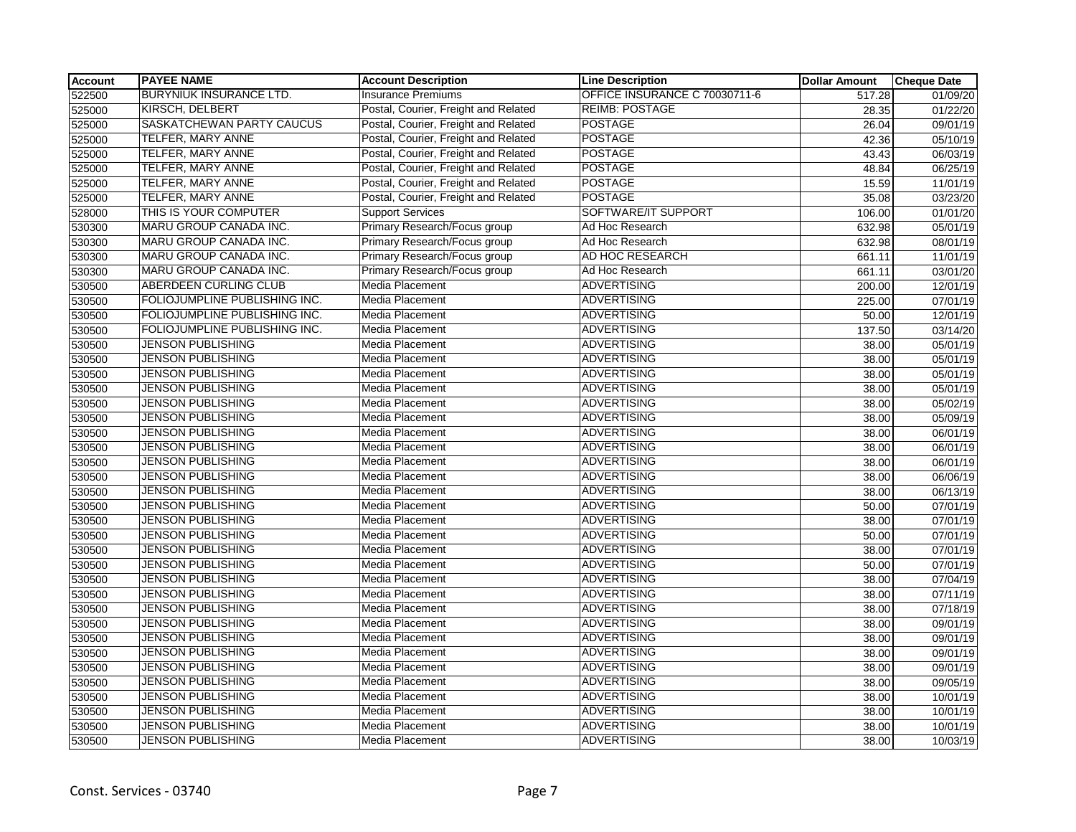| <b>Account</b> | <b>PAYEE NAME</b>              | <b>Account Description</b>           | <b>Line Description</b>       | <b>Dollar Amount</b> | <b>Cheque Date</b> |
|----------------|--------------------------------|--------------------------------------|-------------------------------|----------------------|--------------------|
| 522500         | <b>BURYNIUK INSURANCE LTD.</b> | <b>Insurance Premiums</b>            | OFFICE INSURANCE C 70030711-6 | 517.28               | 01/09/20           |
| 525000         | <b>KIRSCH, DELBERT</b>         | Postal, Courier, Freight and Related | <b>REIMB: POSTAGE</b>         | 28.35                | 01/22/20           |
| 525000         | SASKATCHEWAN PARTY CAUCUS      | Postal, Courier, Freight and Related | <b>POSTAGE</b>                | 26.04                | 09/01/19           |
| 525000         | TELFER, MARY ANNE              | Postal, Courier, Freight and Related | <b>POSTAGE</b>                | 42.36                | 05/10/19           |
| 525000         | <b>TELFER, MARY ANNE</b>       | Postal, Courier, Freight and Related | <b>POSTAGE</b>                | 43.43                | 06/03/19           |
| 525000         | TELFER, MARY ANNE              | Postal, Courier, Freight and Related | <b>POSTAGE</b>                | 48.84                | 06/25/19           |
| 525000         | <b>TELFER, MARY ANNE</b>       | Postal, Courier, Freight and Related | <b>POSTAGE</b>                | 15.59                | 11/01/19           |
| 525000         | <b>TELFER, MARY ANNE</b>       | Postal, Courier, Freight and Related | <b>POSTAGE</b>                | 35.08                | 03/23/20           |
| 528000         | THIS IS YOUR COMPUTER          | <b>Support Services</b>              | SOFTWARE/IT SUPPORT           | 106.00               | 01/01/20           |
| 530300         | MARU GROUP CANADA INC.         | Primary Research/Focus group         | Ad Hoc Research               | 632.98               | 05/01/19           |
| 530300         | <b>MARU GROUP CANADA INC.</b>  | Primary Research/Focus group         | Ad Hoc Research               | 632.98               | 08/01/19           |
| 530300         | MARU GROUP CANADA INC.         | Primary Research/Focus group         | AD HOC RESEARCH               | 661.11               | 11/01/19           |
| 530300         | MARU GROUP CANADA INC.         | Primary Research/Focus group         | Ad Hoc Research               | 661.11               | 03/01/20           |
| 530500         | ABERDEEN CURLING CLUB          | Media Placement                      | <b>ADVERTISING</b>            | 200.00               | 12/01/19           |
| 530500         | FOLIOJUMPLINE PUBLISHING INC.  | Media Placement                      | <b>ADVERTISING</b>            | 225.00               | 07/01/19           |
| 530500         | FOLIOJUMPLINE PUBLISHING INC.  | Media Placement                      | <b>ADVERTISING</b>            | 50.00                | 12/01/19           |
| 530500         | FOLIOJUMPLINE PUBLISHING INC.  | <b>Media Placement</b>               | <b>ADVERTISING</b>            | 137.50               | 03/14/20           |
| 530500         | JENSON PUBLISHING              | <b>Media Placement</b>               | <b>ADVERTISING</b>            | 38.00                | 05/01/19           |
| 530500         | <b>JENSON PUBLISHING</b>       | Media Placement                      | <b>ADVERTISING</b>            | 38.00                | 05/01/19           |
| 530500         | <b>JENSON PUBLISHING</b>       | Media Placement                      | <b>ADVERTISING</b>            | 38.00                | 05/01/19           |
| 530500         | <b>JENSON PUBLISHING</b>       | <b>Media Placement</b>               | <b>ADVERTISING</b>            | 38.00                | 05/01/19           |
| 530500         | <b>JENSON PUBLISHING</b>       | Media Placement                      | <b>ADVERTISING</b>            | 38.00                | 05/02/19           |
| 530500         | JENSON PUBLISHING              | <b>Media Placement</b>               | <b>ADVERTISING</b>            | 38.00                | 05/09/19           |
| 530500         | <b>JENSON PUBLISHING</b>       | Media Placement                      | <b>ADVERTISING</b>            | 38.00                | 06/01/19           |
| 530500         | <b>JENSON PUBLISHING</b>       | Media Placement                      | <b>ADVERTISING</b>            | 38.00                | 06/01/19           |
| 530500         | <b>JENSON PUBLISHING</b>       | <b>Media Placement</b>               | <b>ADVERTISING</b>            | 38.00                | 06/01/19           |
| 530500         | <b>JENSON PUBLISHING</b>       | <b>Media Placement</b>               | <b>ADVERTISING</b>            | 38.00                | 06/06/19           |
| 530500         | <b>JENSON PUBLISHING</b>       | Media Placement                      | <b>ADVERTISING</b>            | 38.00                | 06/13/19           |
| 530500         | <b>JENSON PUBLISHING</b>       | Media Placement                      | <b>ADVERTISING</b>            | 50.00                | 07/01/19           |
| 530500         | <b>JENSON PUBLISHING</b>       | <b>Media Placement</b>               | <b>ADVERTISING</b>            | 38.00                | 07/01/19           |
| 530500         | <b>JENSON PUBLISHING</b>       | Media Placement                      | <b>ADVERTISING</b>            | 50.00                | 07/01/19           |
| 530500         | <b>JENSON PUBLISHING</b>       | Media Placement                      | <b>ADVERTISING</b>            | 38.00                | 07/01/19           |
| 530500         | <b>JENSON PUBLISHING</b>       | Media Placement                      | <b>ADVERTISING</b>            | 50.00                | 07/01/19           |
| 530500         | <b>JENSON PUBLISHING</b>       | Media Placement                      | <b>ADVERTISING</b>            | 38.00                | 07/04/19           |
| 530500         | <b>JENSON PUBLISHING</b>       | Media Placement                      | <b>ADVERTISING</b>            | 38.00                | 07/11/19           |
| 530500         | <b>JENSON PUBLISHING</b>       | Media Placement                      | <b>ADVERTISING</b>            | 38.00                | 07/18/19           |
| 530500         | <b>JENSON PUBLISHING</b>       | Media Placement                      | <b>ADVERTISING</b>            | 38.00                | 09/01/19           |
| 530500         | <b>JENSON PUBLISHING</b>       | Media Placement                      | <b>ADVERTISING</b>            | 38.00                | 09/01/19           |
| 530500         | <b>JENSON PUBLISHING</b>       | <b>Media Placement</b>               | <b>ADVERTISING</b>            | 38.00                | 09/01/19           |
| 530500         | <b>JENSON PUBLISHING</b>       | Media Placement                      | <b>ADVERTISING</b>            | 38.00                | 09/01/19           |
| 530500         | <b>JENSON PUBLISHING</b>       | Media Placement                      | <b>ADVERTISING</b>            | 38.00                | 09/05/19           |
| 530500         | <b>JENSON PUBLISHING</b>       | <b>Media Placement</b>               | <b>ADVERTISING</b>            | 38.00                | 10/01/19           |
| 530500         | JENSON PUBLISHING              | Media Placement                      | <b>ADVERTISING</b>            | 38.00                | 10/01/19           |
| 530500         | <b>JENSON PUBLISHING</b>       | Media Placement                      | <b>ADVERTISING</b>            | 38.00                | 10/01/19           |
| 530500         | <b>JENSON PUBLISHING</b>       | Media Placement                      | <b>ADVERTISING</b>            | 38.00                | 10/03/19           |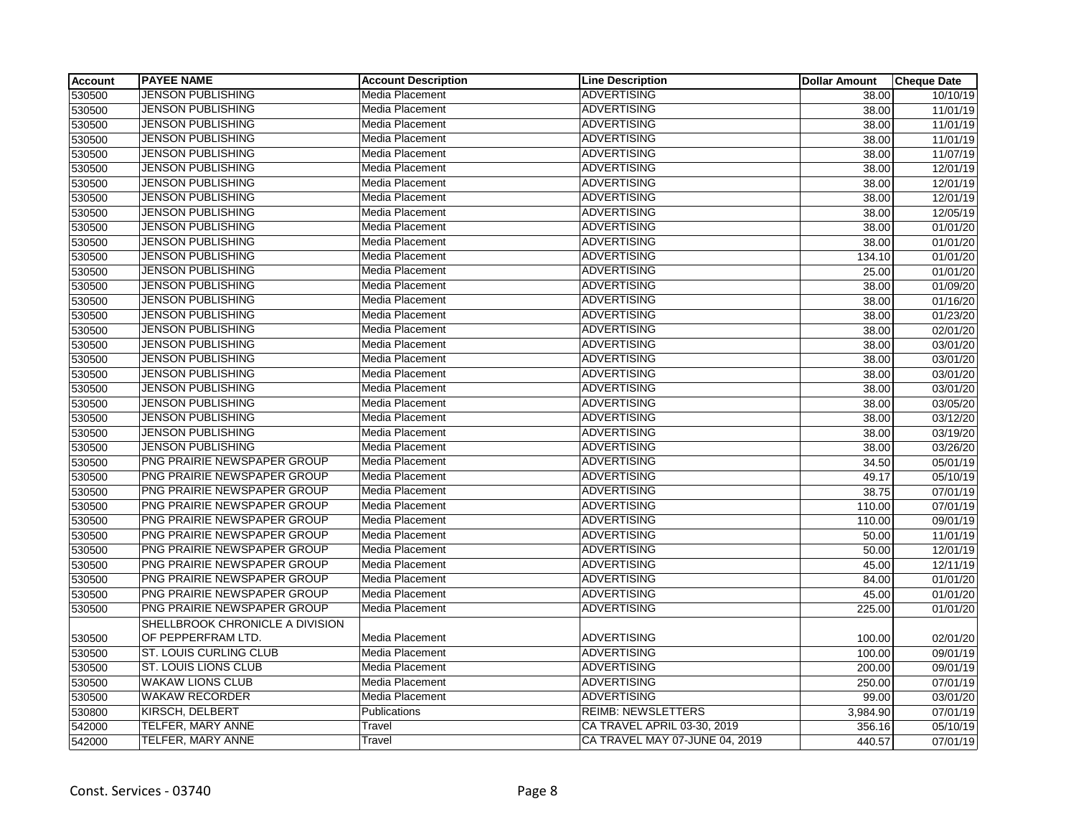| <b>Account</b> | <b>PAYEE NAME</b>               | <b>Account Description</b> | <b>Line Description</b>        | <b>Dollar Amount</b> | <b>Cheque Date</b>    |
|----------------|---------------------------------|----------------------------|--------------------------------|----------------------|-----------------------|
| 530500         | <b>JENSON PUBLISHING</b>        | Media Placement            | <b>ADVERTISING</b>             | 38.00                | $\frac{10}{10}$ 10/19 |
| 530500         | <b>JENSON PUBLISHING</b>        | Media Placement            | <b>ADVERTISING</b>             | 38.00                | 11/01/19              |
| 530500         | <b>JENSON PUBLISHING</b>        | Media Placement            | <b>ADVERTISING</b>             | 38.00                | 11/01/19              |
| 530500         | <b>JENSON PUBLISHING</b>        | Media Placement            | <b>ADVERTISING</b>             | 38.00                | 11/01/19              |
| 530500         | <b>JENSON PUBLISHING</b>        | Media Placement            | <b>ADVERTISING</b>             | 38.00                | 11/07/19              |
| 530500         | <b>JENSON PUBLISHING</b>        | Media Placement            | <b>ADVERTISING</b>             | 38.00                | 12/01/19              |
| 530500         | <b>JENSON PUBLISHING</b>        | Media Placement            | <b>ADVERTISING</b>             | 38.00                | 12/01/19              |
| 530500         | <b>JENSON PUBLISHING</b>        | Media Placement            | <b>ADVERTISING</b>             | 38.00                | 12/01/19              |
| 530500         | <b>JENSON PUBLISHING</b>        | Media Placement            | <b>ADVERTISING</b>             | 38.00                | 12/05/19              |
| 530500         | <b>JENSON PUBLISHING</b>        | Media Placement            | <b>ADVERTISING</b>             | 38.00                | 01/01/20              |
| 530500         | <b>JENSON PUBLISHING</b>        | Media Placement            | <b>ADVERTISING</b>             | 38.00                | 01/01/20              |
| 530500         | <b>JENSON PUBLISHING</b>        | Media Placement            | <b>ADVERTISING</b>             | 134.10               | 01/01/20              |
| 530500         | <b>JENSON PUBLISHING</b>        | <b>Media Placement</b>     | <b>ADVERTISING</b>             | 25.00                | 01/01/20              |
| 530500         | <b>JENSON PUBLISHING</b>        | Media Placement            | <b>ADVERTISING</b>             | 38.00                | 01/09/20              |
| 530500         | <b>JENSON PUBLISHING</b>        | Media Placement            | <b>ADVERTISING</b>             | 38.00                | 01/16/20              |
| 530500         | <b>JENSON PUBLISHING</b>        | Media Placement            | <b>ADVERTISING</b>             | 38.00                | 01/23/20              |
| 530500         | <b>JENSON PUBLISHING</b>        | Media Placement            | <b>ADVERTISING</b>             | 38.00                | 02/01/20              |
| 530500         | <b>JENSON PUBLISHING</b>        | Media Placement            | <b>ADVERTISING</b>             | 38.00                | 03/01/20              |
| 530500         | <b>JENSON PUBLISHING</b>        | Media Placement            | <b>ADVERTISING</b>             | 38.00                | 03/01/20              |
| 530500         | <b>JENSON PUBLISHING</b>        | Media Placement            | <b>ADVERTISING</b>             | 38.00                | 03/01/20              |
| 530500         | <b>JENSON PUBLISHING</b>        | Media Placement            | <b>ADVERTISING</b>             | 38.00                | 03/01/20              |
| 530500         | <b>JENSON PUBLISHING</b>        | Media Placement            | <b>ADVERTISING</b>             | 38.00                | 03/05/20              |
| 530500         | JENSON PUBLISHING               | Media Placement            | <b>ADVERTISING</b>             | 38.00                | 03/12/20              |
| 530500         | JENSON PUBLISHING               | Media Placement            | <b>ADVERTISING</b>             | 38.00                | 03/19/20              |
| 530500         | <b>JENSON PUBLISHING</b>        | Media Placement            | <b>ADVERTISING</b>             | 38.00                | 03/26/20              |
| 530500         | PNG PRAIRIE NEWSPAPER GROUP     | Media Placement            | <b>ADVERTISING</b>             | 34.50                | 05/01/19              |
| 530500         | PNG PRAIRIE NEWSPAPER GROUP     | Media Placement            | <b>ADVERTISING</b>             | 49.17                | 05/10/19              |
| 530500         | PNG PRAIRIE NEWSPAPER GROUP     | Media Placement            | <b>ADVERTISING</b>             | 38.75                | 07/01/19              |
| 530500         | PNG PRAIRIE NEWSPAPER GROUP     | <b>Media Placement</b>     | <b>ADVERTISING</b>             | 110.00               | 07/01/19              |
| 530500         | PNG PRAIRIE NEWSPAPER GROUP     | Media Placement            | <b>ADVERTISING</b>             | 110.00               | 09/01/19              |
| 530500         | PNG PRAIRIE NEWSPAPER GROUP     | Media Placement            | <b>ADVERTISING</b>             | 50.00                | 11/01/19              |
| 530500         | PNG PRAIRIE NEWSPAPER GROUP     | Media Placement            | <b>ADVERTISING</b>             | 50.00                | 12/01/19              |
| 530500         | PNG PRAIRIE NEWSPAPER GROUP     | Media Placement            | <b>ADVERTISING</b>             | 45.00                | 12/11/19              |
| 530500         | PNG PRAIRIE NEWSPAPER GROUP     | <b>Media Placement</b>     | <b>ADVERTISING</b>             | 84.00                | 01/01/20              |
| 530500         | PNG PRAIRIE NEWSPAPER GROUP     | Media Placement            | <b>ADVERTISING</b>             | 45.00                | 01/01/20              |
| 530500         | PNG PRAIRIE NEWSPAPER GROUP     | Media Placement            | <b>ADVERTISING</b>             | 225.00               | 01/01/20              |
|                | SHELLBROOK CHRONICLE A DIVISION |                            |                                |                      |                       |
| 530500         | OF PEPPERFRAM LTD.              | Media Placement            | <b>ADVERTISING</b>             | 100.00               | 02/01/20              |
| 530500         | ST. LOUIS CURLING CLUB          | Media Placement            | <b>ADVERTISING</b>             | 100.00               | 09/01/19              |
| 530500         | <b>ST. LOUIS LIONS CLUB</b>     | Media Placement            | <b>ADVERTISING</b>             | 200.00               | 09/01/19              |
| 530500         | <b>WAKAW LIONS CLUB</b>         | Media Placement            | <b>ADVERTISING</b>             | 250.00               | $\overline{07/01/19}$ |
| 530500         | <b>WAKAW RECORDER</b>           | Media Placement            | <b>ADVERTISING</b>             | 99.00                | 03/01/20              |
| 530800         | KIRSCH, DELBERT                 | Publications               | <b>REIMB: NEWSLETTERS</b>      | 3,984.90             | 07/01/19              |
| 542000         | TELFER, MARY ANNE               | Travel                     | CA TRAVEL APRIL 03-30, 2019    | 356.16               | 05/10/19              |
| 542000         | <b>TELFER, MARY ANNE</b>        | Travel                     | CA TRAVEL MAY 07-JUNE 04, 2019 | 440.57               | 07/01/19              |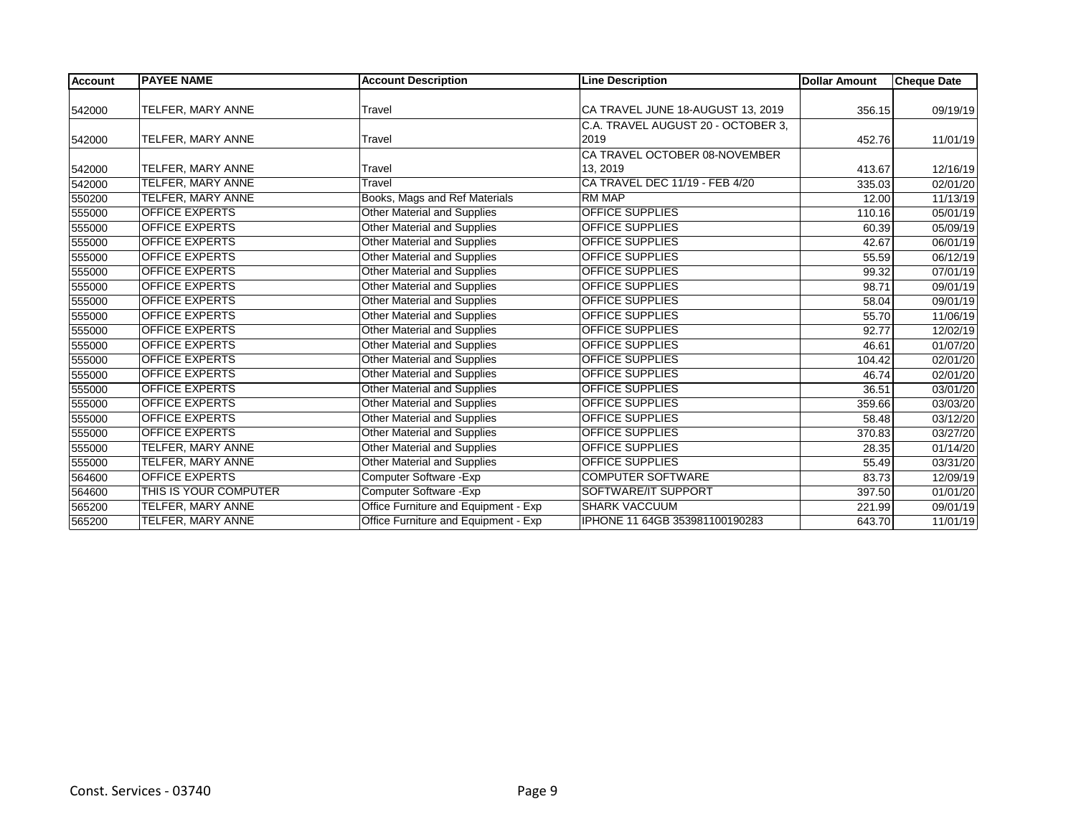| <b>Account</b> | <b>PAYEE NAME</b>        | <b>Account Description</b>           | <b>Line Description</b>            | <b>Dollar Amount</b> | <b>Cheque Date</b> |
|----------------|--------------------------|--------------------------------------|------------------------------------|----------------------|--------------------|
|                |                          |                                      |                                    |                      |                    |
| 542000         | TELFER, MARY ANNE        | Travel                               | CA TRAVEL JUNE 18-AUGUST 13, 2019  | 356.15               | 09/19/19           |
|                |                          |                                      | C.A. TRAVEL AUGUST 20 - OCTOBER 3, |                      |                    |
| 542000         | TELFER, MARY ANNE        | Travel                               | 2019                               | 452.76               | 11/01/19           |
|                |                          |                                      | CA TRAVEL OCTOBER 08-NOVEMBER      |                      |                    |
| 542000         | TELFER, MARY ANNE        | Travel                               | 13, 2019                           | 413.67               | 12/16/19           |
| 542000         | TELFER, MARY ANNE        | Travel                               | CA TRAVEL DEC 11/19 - FEB 4/20     | 335.03               | 02/01/20           |
| 550200         | <b>TELFER, MARY ANNE</b> | Books, Mags and Ref Materials        | <b>RM MAP</b>                      | 12.00                | 11/13/19           |
| 555000         | <b>OFFICE EXPERTS</b>    | Other Material and Supplies          | <b>OFFICE SUPPLIES</b>             | 110.16               | 05/01/19           |
| 555000         | <b>OFFICE EXPERTS</b>    | Other Material and Supplies          | <b>OFFICE SUPPLIES</b>             | 60.39                | 05/09/19           |
| 555000         | <b>OFFICE EXPERTS</b>    | Other Material and Supplies          | <b>OFFICE SUPPLIES</b>             | 42.67                | 06/01/19           |
| 555000         | <b>OFFICE EXPERTS</b>    | Other Material and Supplies          | <b>OFFICE SUPPLIES</b>             | 55.59                | 06/12/19           |
| 555000         | <b>OFFICE EXPERTS</b>    | Other Material and Supplies          | <b>OFFICE SUPPLIES</b>             | 99.32                | 07/01/19           |
| 555000         | <b>OFFICE EXPERTS</b>    | Other Material and Supplies          | <b>OFFICE SUPPLIES</b>             | 98.71                | 09/01/19           |
| 555000         | <b>OFFICE EXPERTS</b>    | <b>Other Material and Supplies</b>   | <b>OFFICE SUPPLIES</b>             | 58.04                | 09/01/19           |
| 555000         | OFFICE EXPERTS           | Other Material and Supplies          | OFFICE SUPPLIES                    | 55.70                | 11/06/19           |
| 555000         | <b>OFFICE EXPERTS</b>    | <b>Other Material and Supplies</b>   | <b>OFFICE SUPPLIES</b>             | 92.77                | 12/02/19           |
| 555000         | <b>OFFICE EXPERTS</b>    | Other Material and Supplies          | <b>OFFICE SUPPLIES</b>             | 46.61                | 01/07/20           |
| 555000         | <b>OFFICE EXPERTS</b>    | <b>Other Material and Supplies</b>   | <b>OFFICE SUPPLIES</b>             | 104.42               | 02/01/20           |
| 555000         | <b>OFFICE EXPERTS</b>    | Other Material and Supplies          | <b>OFFICE SUPPLIES</b>             | 46.74                | 02/01/20           |
| 555000         | <b>OFFICE EXPERTS</b>    | Other Material and Supplies          | <b>OFFICE SUPPLIES</b>             | 36.51                | 03/01/20           |
| 555000         | <b>OFFICE EXPERTS</b>    | <b>Other Material and Supplies</b>   | <b>OFFICE SUPPLIES</b>             | 359.66               | 03/03/20           |
| 555000         | <b>OFFICE EXPERTS</b>    | Other Material and Supplies          | <b>OFFICE SUPPLIES</b>             | 58.48                | 03/12/20           |
| 555000         | <b>OFFICE EXPERTS</b>    | Other Material and Supplies          | <b>OFFICE SUPPLIES</b>             | 370.83               | 03/27/20           |
| 555000         | TELFER, MARY ANNE        | Other Material and Supplies          | <b>OFFICE SUPPLIES</b>             | 28.35                | 01/14/20           |
| 555000         | TELFER, MARY ANNE        | <b>Other Material and Supplies</b>   | <b>OFFICE SUPPLIES</b>             | 55.49                | 03/31/20           |
| 564600         | <b>OFFICE EXPERTS</b>    | Computer Software - Exp              | <b>COMPUTER SOFTWARE</b>           | 83.73                | 12/09/19           |
| 564600         | THIS IS YOUR COMPUTER    | Computer Software - Exp              | SOFTWARE/IT SUPPORT                | 397.50               | 01/01/20           |
| 565200         | TELFER, MARY ANNE        | Office Furniture and Equipment - Exp | <b>SHARK VACCUUM</b>               | 221.99               | 09/01/19           |
| 565200         | TELFER, MARY ANNE        | Office Furniture and Equipment - Exp | IPHONE 11 64GB 353981100190283     | 643.70               | 11/01/19           |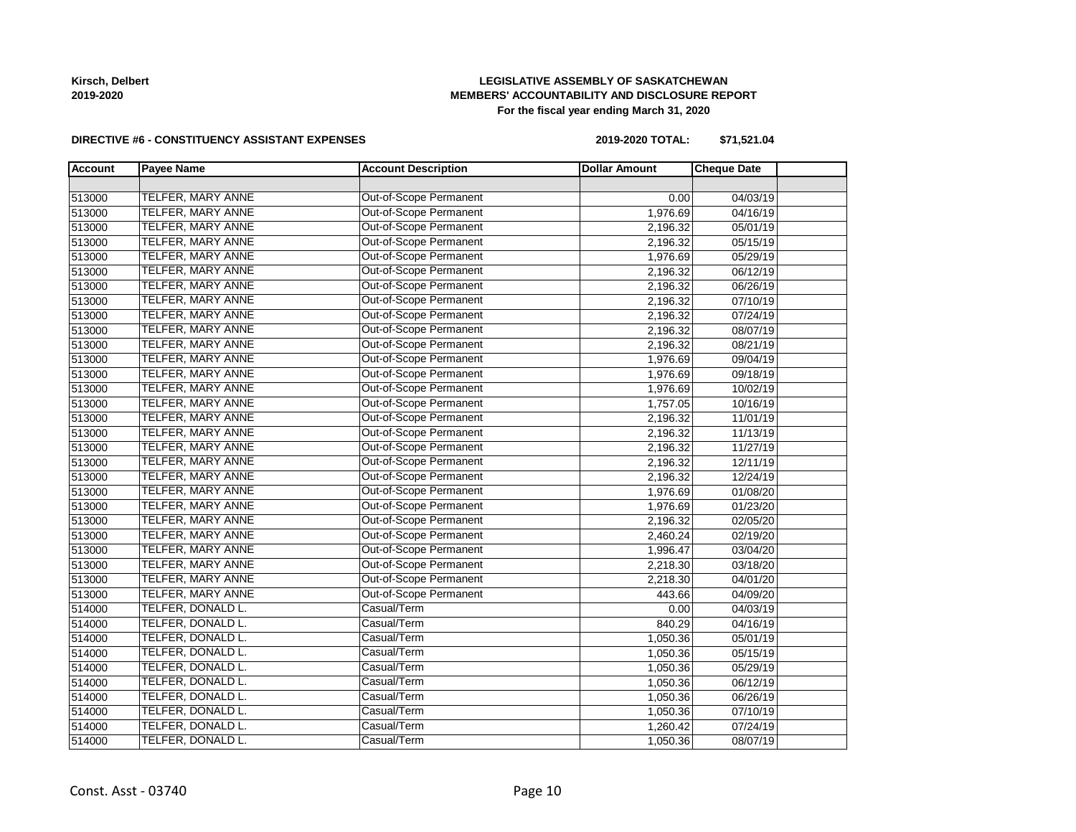**Kirsch, Delbert 2019-2020**

#### **LEGISLATIVE ASSEMBLY OF SASKATCHEWAN MEMBERS' ACCOUNTABILITY AND DISCLOSURE REPORT For the fiscal year ending March 31, 2020**

#### **DIRECTIVE #6 - CONSTITUENCY ASSISTANT EXPENSES**

**2019-2020 TOTAL: \$71,521.04**

| <b>Account</b> | <b>Payee Name</b>        | <b>Account Description</b> | <b>Dollar Amount</b> | <b>Cheque Date</b> |  |
|----------------|--------------------------|----------------------------|----------------------|--------------------|--|
|                |                          |                            |                      |                    |  |
| 513000         | <b>TELFER, MARY ANNE</b> | Out-of-Scope Permanent     | 0.00                 | 04/03/19           |  |
| 513000         | <b>TELFER, MARY ANNE</b> | Out-of-Scope Permanent     | 1,976.69             | 04/16/19           |  |
| 513000         | TELFER, MARY ANNE        | Out-of-Scope Permanent     | 2,196.32             | 05/01/19           |  |
| 513000         | TELFER, MARY ANNE        | Out-of-Scope Permanent     | 2,196.32             | 05/15/19           |  |
| 513000         | TELFER, MARY ANNE        | Out-of-Scope Permanent     | 1,976.69             | 05/29/19           |  |
| 513000         | TELFER, MARY ANNE        | Out-of-Scope Permanent     | 2,196.32             | 06/12/19           |  |
| 513000         | TELFER, MARY ANNE        | Out-of-Scope Permanent     | 2,196.32             | 06/26/19           |  |
| 513000         | TELFER, MARY ANNE        | Out-of-Scope Permanent     | 2,196.32             | 07/10/19           |  |
| 513000         | TELFER, MARY ANNE        | Out-of-Scope Permanent     | 2,196.32             | 07/24/19           |  |
| 513000         | TELFER, MARY ANNE        | Out-of-Scope Permanent     | 2,196.32             | 08/07/19           |  |
| 513000         | TELFER, MARY ANNE        | Out-of-Scope Permanent     | 2,196.32             | 08/21/19           |  |
| 513000         | TELFER, MARY ANNE        | Out-of-Scope Permanent     | 1,976.69             | 09/04/19           |  |
| 513000         | TELFER, MARY ANNE        | Out-of-Scope Permanent     | 1,976.69             | 09/18/19           |  |
| 513000         | TELFER, MARY ANNE        | Out-of-Scope Permanent     | 1,976.69             | 10/02/19           |  |
| 513000         | <b>TELFER, MARY ANNE</b> | Out-of-Scope Permanent     | 1,757.05             | 10/16/19           |  |
| 513000         | TELFER, MARY ANNE        | Out-of-Scope Permanent     | 2,196.32             | 11/01/19           |  |
| 513000         | TELFER, MARY ANNE        | Out-of-Scope Permanent     | 2,196.32             | 11/13/19           |  |
| 513000         | <b>TELFER, MARY ANNE</b> | Out-of-Scope Permanent     | 2,196.32             | 11/27/19           |  |
| 513000         | <b>TELFER, MARY ANNE</b> | Out-of-Scope Permanent     | 2,196.32             | 12/11/19           |  |
| 513000         | TELFER, MARY ANNE        | Out-of-Scope Permanent     | 2,196.32             | 12/24/19           |  |
| 513000         | TELFER, MARY ANNE        | Out-of-Scope Permanent     | 1,976.69             | 01/08/20           |  |
| 513000         | TELFER, MARY ANNE        | Out-of-Scope Permanent     | 1,976.69             | 01/23/20           |  |
| 513000         | TELFER, MARY ANNE        | Out-of-Scope Permanent     | 2,196.32             | 02/05/20           |  |
| 513000         | TELFER, MARY ANNE        | Out-of-Scope Permanent     | 2,460.24             | 02/19/20           |  |
| 513000         | TELFER, MARY ANNE        | Out-of-Scope Permanent     | 1,996.47             | 03/04/20           |  |
| 513000         | TELFER, MARY ANNE        | Out-of-Scope Permanent     | 2,218.30             | 03/18/20           |  |
| 513000         | TELFER, MARY ANNE        | Out-of-Scope Permanent     | 2,218.30             | 04/01/20           |  |
| 513000         | TELFER, MARY ANNE        | Out-of-Scope Permanent     | 443.66               | 04/09/20           |  |
| 514000         | TELFER, DONALD L.        | Casual/Term                | 0.00                 | 04/03/19           |  |
| 514000         | TELFER, DONALD L.        | Casual/Term                | 840.29               | 04/16/19           |  |
| 514000         | TELFER, DONALD L.        | Casual/Term                | 1,050.36             | 05/01/19           |  |
| 514000         | TELFER, DONALD L.        | Casual/Term                | 1,050.36             | 05/15/19           |  |
| 514000         | TELFER, DONALD L.        | Casual/Term                | 1,050.36             | 05/29/19           |  |
| 514000         | TELFER, DONALD L.        | Casual/Term                | 1,050.36             | 06/12/19           |  |
| 514000         | TELFER, DONALD L.        | Casual/Term                | 1,050.36             | 06/26/19           |  |
| 514000         | TELFER, DONALD L.        | Casual/Term                | 1,050.36             | 07/10/19           |  |
| 514000         | TELFER, DONALD L.        | Casual/Term                | 1,260.42             | 07/24/19           |  |
| 514000         | TELFER, DONALD L.        | Casual/Term                | 1,050.36             | 08/07/19           |  |